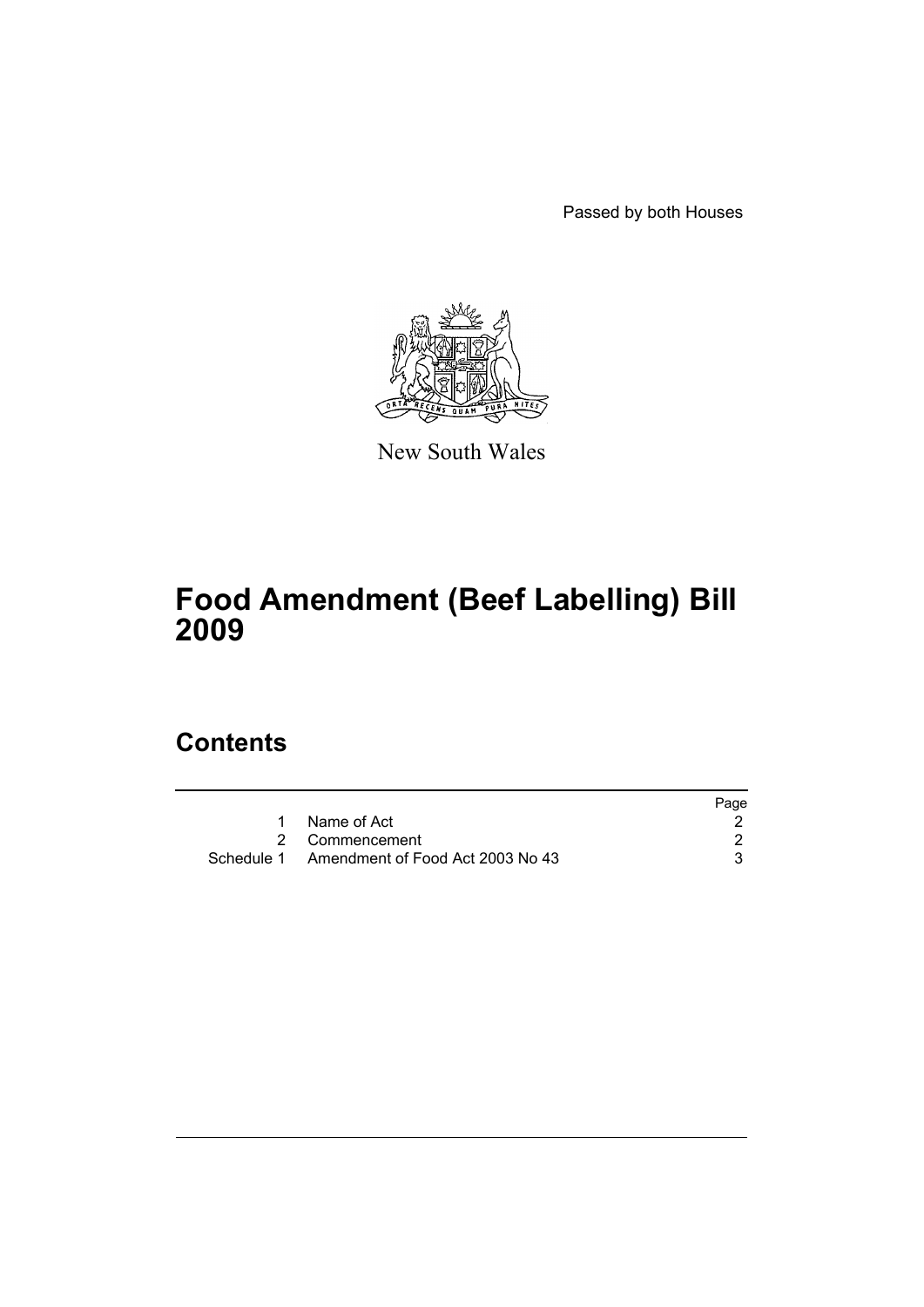Passed by both Houses



New South Wales

# **Food Amendment (Beef Labelling) Bill 2009**

# **Contents**

|                                             | Page |
|---------------------------------------------|------|
| Name of Act                                 |      |
| 2 Commencement                              |      |
| Schedule 1 Amendment of Food Act 2003 No 43 |      |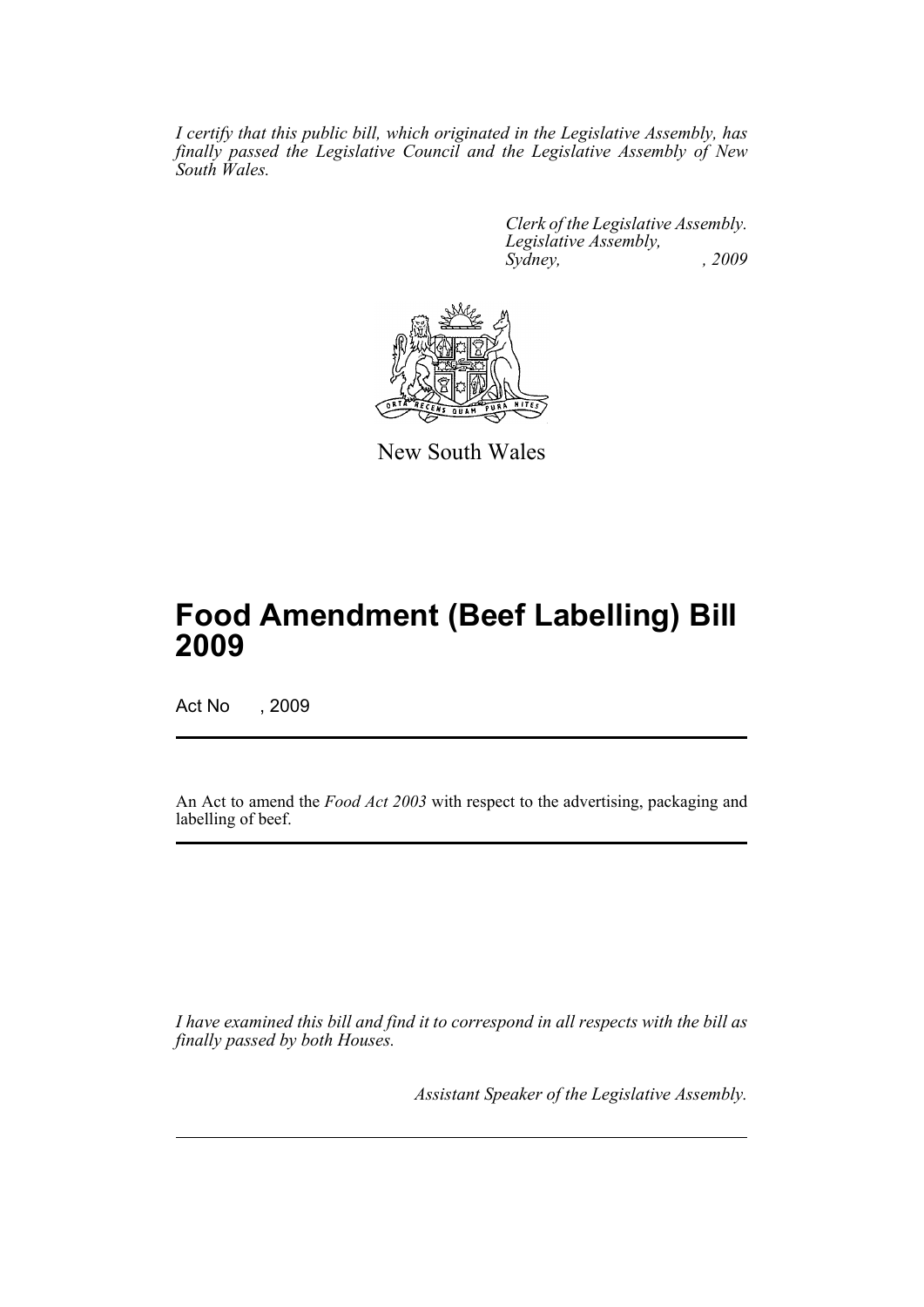*I certify that this public bill, which originated in the Legislative Assembly, has finally passed the Legislative Council and the Legislative Assembly of New South Wales.*

> *Clerk of the Legislative Assembly. Legislative Assembly, Sydney, , 2009*



New South Wales

# **Food Amendment (Beef Labelling) Bill 2009**

Act No , 2009

An Act to amend the *Food Act 2003* with respect to the advertising, packaging and labelling of beef.

*I have examined this bill and find it to correspond in all respects with the bill as finally passed by both Houses.*

*Assistant Speaker of the Legislative Assembly.*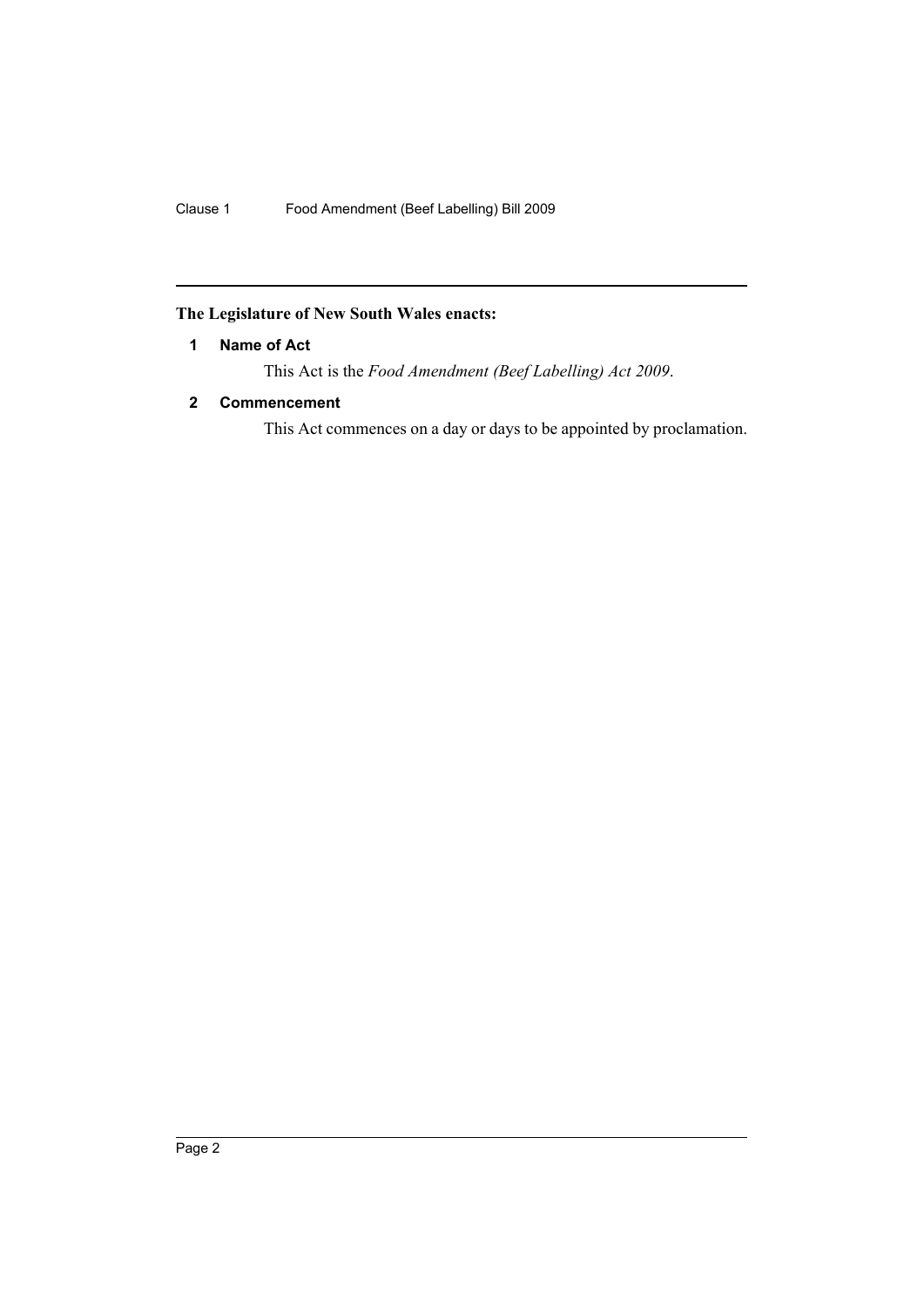# <span id="page-2-0"></span>**The Legislature of New South Wales enacts:**

# **1 Name of Act**

This Act is the *Food Amendment (Beef Labelling) Act 2009*.

# <span id="page-2-1"></span>**2 Commencement**

This Act commences on a day or days to be appointed by proclamation.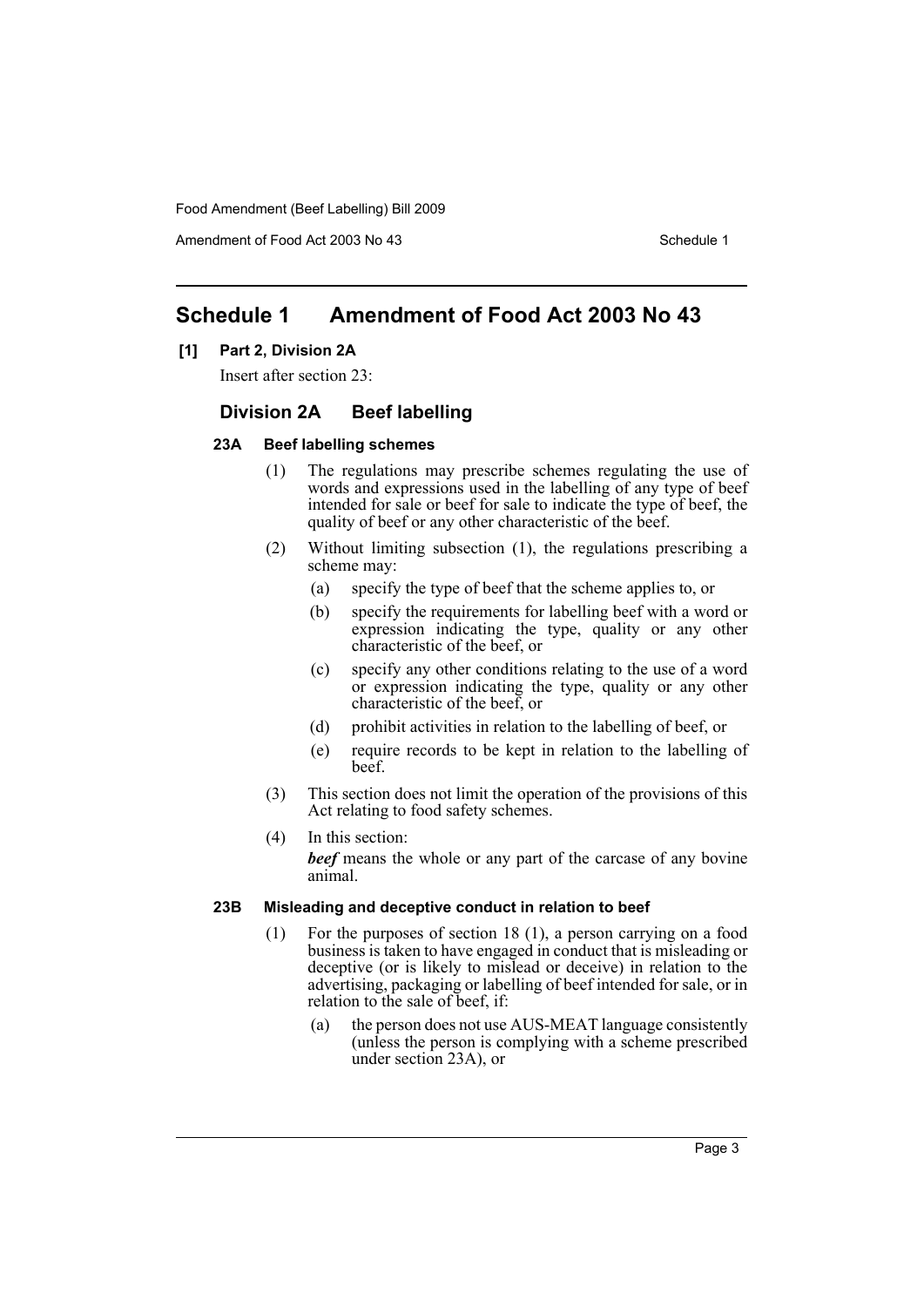Amendment of Food Act 2003 No 43 Schedule 1

# <span id="page-3-0"></span>**Schedule 1 Amendment of Food Act 2003 No 43**

### **[1] Part 2, Division 2A**

Insert after section 23:

# **Division 2A Beef labelling**

#### **23A Beef labelling schemes**

- (1) The regulations may prescribe schemes regulating the use of words and expressions used in the labelling of any type of beef intended for sale or beef for sale to indicate the type of beef, the quality of beef or any other characteristic of the beef.
- (2) Without limiting subsection (1), the regulations prescribing a scheme may:
	- (a) specify the type of beef that the scheme applies to, or
	- (b) specify the requirements for labelling beef with a word or expression indicating the type, quality or any other characteristic of the beef, or
	- (c) specify any other conditions relating to the use of a word or expression indicating the type, quality or any other characteristic of the beef, or
	- (d) prohibit activities in relation to the labelling of beef, or
	- (e) require records to be kept in relation to the labelling of beef.
- (3) This section does not limit the operation of the provisions of this Act relating to food safety schemes.
- (4) In this section:

*beef* means the whole or any part of the carcase of any bovine animal.

### **23B Misleading and deceptive conduct in relation to beef**

- (1) For the purposes of section 18 (1), a person carrying on a food business is taken to have engaged in conduct that is misleading or deceptive (or is likely to mislead or deceive) in relation to the advertising, packaging or labelling of beef intended for sale, or in relation to the sale of beef, if:
	- (a) the person does not use AUS-MEAT language consistently (unless the person is complying with a scheme prescribed under section 23A), or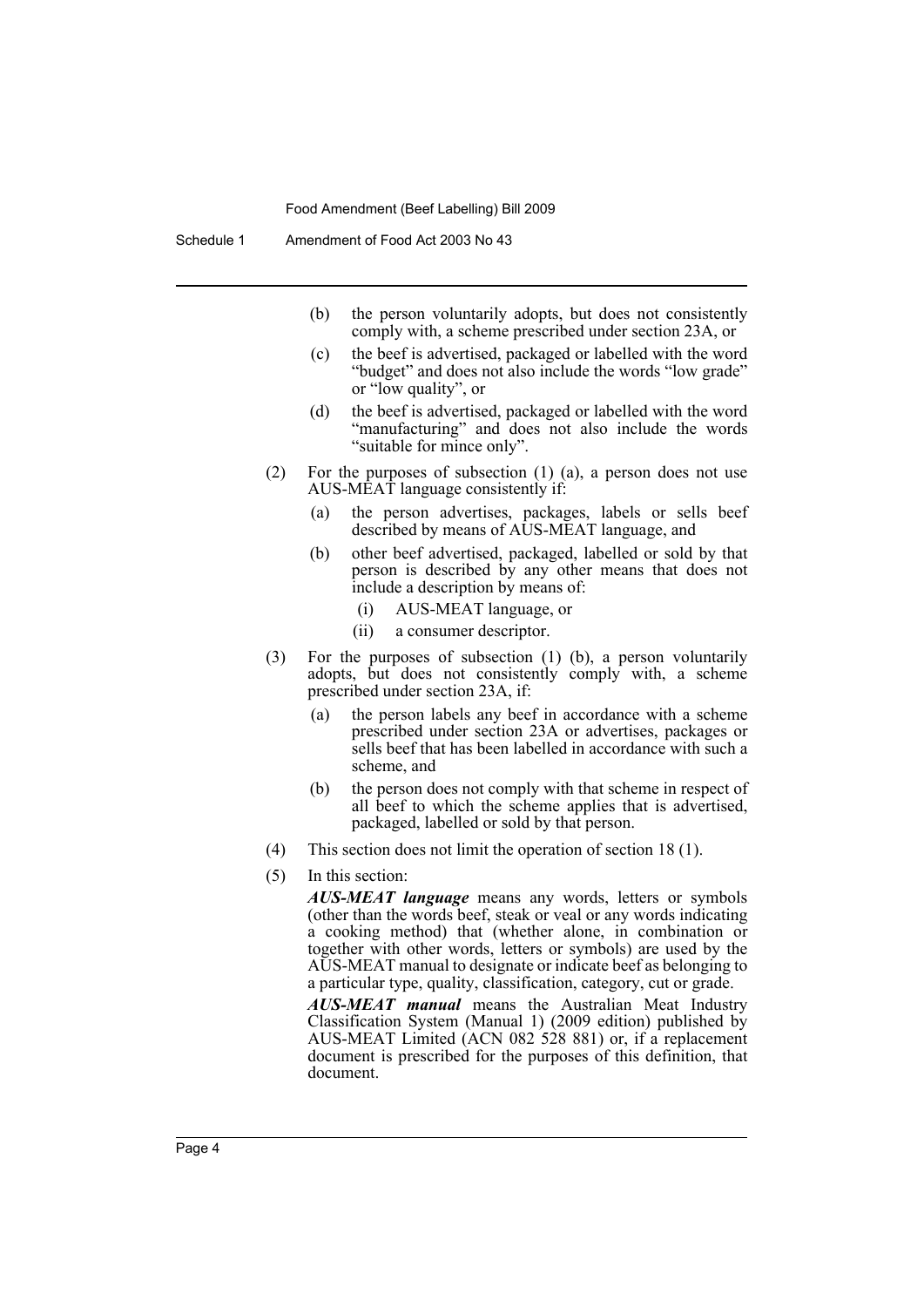- (b) the person voluntarily adopts, but does not consistently comply with, a scheme prescribed under section 23A, or
- (c) the beef is advertised, packaged or labelled with the word "budget" and does not also include the words "low grade" or "low quality", or
- (d) the beef is advertised, packaged or labelled with the word "manufacturing" and does not also include the words "suitable for mince only".
- (2) For the purposes of subsection (1) (a), a person does not use AUS-MEAT language consistently if:
	- (a) the person advertises, packages, labels or sells beef described by means of AUS-MEAT language, and
	- (b) other beef advertised, packaged, labelled or sold by that person is described by any other means that does not include a description by means of:
		- (i) AUS-MEAT language, or
		- (ii) a consumer descriptor.
- (3) For the purposes of subsection (1) (b), a person voluntarily adopts, but does not consistently comply with, a scheme prescribed under section 23A, if:
	- (a) the person labels any beef in accordance with a scheme prescribed under section 23A or advertises, packages or sells beef that has been labelled in accordance with such a scheme, and
	- (b) the person does not comply with that scheme in respect of all beef to which the scheme applies that is advertised, packaged, labelled or sold by that person.
- (4) This section does not limit the operation of section 18 (1).
- (5) In this section:

*AUS-MEAT language* means any words, letters or symbols (other than the words beef, steak or veal or any words indicating a cooking method) that (whether alone, in combination or together with other words, letters or symbols) are used by the AUS-MEAT manual to designate or indicate beef as belonging to a particular type, quality, classification, category, cut or grade.

*AUS-MEAT manual* means the Australian Meat Industry Classification System (Manual 1) (2009 edition) published by AUS-MEAT Limited (ACN 082 528 881) or, if a replacement document is prescribed for the purposes of this definition, that document.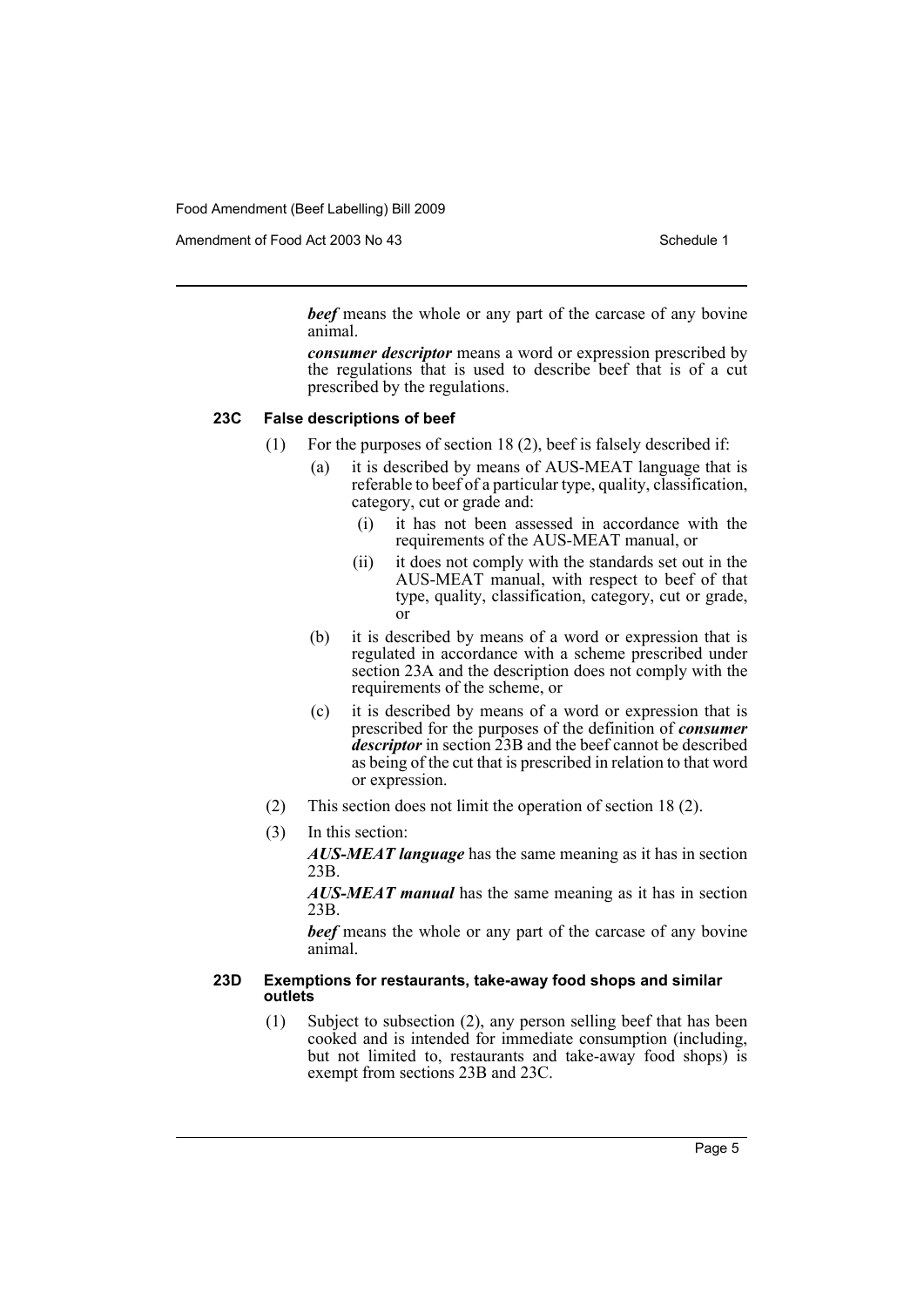Amendment of Food Act 2003 No 43 Schedule 1

*beef* means the whole or any part of the carcase of any bovine animal.

*consumer descriptor* means a word or expression prescribed by the regulations that is used to describe beef that is of a cut prescribed by the regulations.

#### **23C False descriptions of beef**

- (1) For the purposes of section 18 (2), beef is falsely described if:
	- (a) it is described by means of AUS-MEAT language that is referable to beef of a particular type, quality, classification, category, cut or grade and:
		- (i) it has not been assessed in accordance with the requirements of the AUS-MEAT manual, or
		- (ii) it does not comply with the standards set out in the AUS-MEAT manual, with respect to beef of that type, quality, classification, category, cut or grade, or
	- (b) it is described by means of a word or expression that is regulated in accordance with a scheme prescribed under section 23A and the description does not comply with the requirements of the scheme, or
	- (c) it is described by means of a word or expression that is prescribed for the purposes of the definition of *consumer descriptor* in section 23B and the beef cannot be described as being of the cut that is prescribed in relation to that word or expression.
- (2) This section does not limit the operation of section 18 (2).
- (3) In this section:

*AUS-MEAT language* has the same meaning as it has in section 23B.

*AUS-MEAT manual* has the same meaning as it has in section 23B.

*beef* means the whole or any part of the carcase of any bovine animal.

#### **23D Exemptions for restaurants, take-away food shops and similar outlets**

(1) Subject to subsection (2), any person selling beef that has been cooked and is intended for immediate consumption (including, but not limited to, restaurants and take-away food shops) is exempt from sections 23B and 23C.